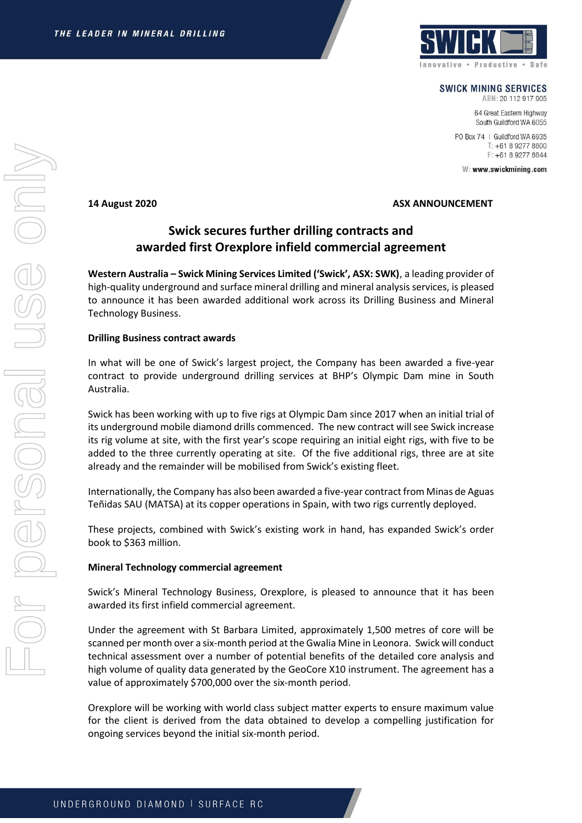

**SWICK MINING SERVICES** 

ABN: 20 112 917 905 64 Great Eastern Highway South Guildford WA 6055

PO Box 74 | Guildford WA 6935 T: +61 8 9277 8800 F: +61 8 9277 8844

W: www.swickmining.com

## **14 August 2020 ASX ANNOUNCEMENT**

## **Swick secures further drilling contracts and awarded first Orexplore infield commercial agreement**

**Western Australia – Swick Mining Services Limited ('Swick', ASX: SWK)**, a leading provider of high-quality underground and surface mineral drilling and mineral analysis services, is pleased to announce it has been awarded additional work across its Drilling Business and Mineral Technology Business.

## **Drilling Business contract awards**

In what will be one of Swick's largest project, the Company has been awarded a five-year contract to provide underground drilling services at BHP's Olympic Dam mine in South Australia.

Swick has been working with up to five rigs at Olympic Dam since 2017 when an initial trial of its underground mobile diamond drills commenced. The new contract will see Swick increase its rig volume at site, with the first year's scope requiring an initial eight rigs, with five to be added to the three currently operating at site. Of the five additional rigs, three are at site already and the remainder will be mobilised from Swick's existing fleet.

Internationally, the Company has also been awarded a five-year contract from Minas de Aguas Teñidas SAU (MATSA) at its copper operations in Spain, with two rigs currently deployed.

These projects, combined with Swick's existing work in hand, has expanded Swick's order book to \$363 million.

## **Mineral Technology commercial agreement**

Swick's Mineral Technology Business, Orexplore, is pleased to announce that it has been awarded its first infield commercial agreement.

Under the agreement with St Barbara Limited, approximately 1,500 metres of core will be scanned per month over a six-month period at the Gwalia Mine in Leonora. Swick will conduct technical assessment over a number of potential benefits of the detailed core analysis and high volume of quality data generated by the GeoCore X10 instrument. The agreement has a value of approximately \$700,000 over the six-month period.

Orexplore will be working with world class subject matter experts to ensure maximum value for the client is derived from the data obtained to develop a compelling justification for ongoing services beyond the initial six-month period.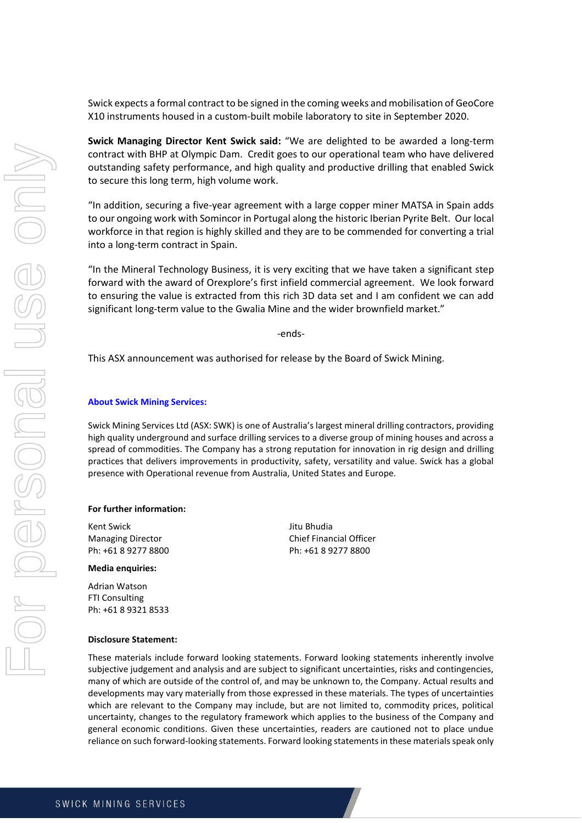Swick expects a formal contract to be signed in the coming weeks and mobilisation of GeoCore X10 instruments housed in a custom-built mobile laboratory to site in September 2020.

**Swick Managing Director Kent Swick said:** "We are delighted to be awarded a long-term contract with BHP at Olympic Dam. Credit goes to our operational team who have delivered outstanding safety performance, and high quality and productive drilling that enabled Swick to secure this long term, high volume work.

"In addition, securing a five-year agreement with a large copper miner MATSA in Spain adds to our ongoing work with Somincor in Portugal along the historic Iberian Pyrite Belt. Our local workforce in that region is highly skilled and they are to be commended for converting a trial into a long-term contract in Spain.

"In the Mineral Technology Business, it is very exciting that we have taken a significant step forward with the award of Orexplore's first infield commercial agreement. We look forward to ensuring the value is extracted from this rich 3D data set and I am confident we can add significant long-term value to the Gwalia Mine and the wider brownfield market."

-ends-

This ASX announcement was authorised for release by the Board of Swick Mining.

#### **About Swick Mining Services:**

Swick Mining Services Ltd (ASX: SWK) is one of Australia's largest mineral drilling contractors, providing high quality underground and surface drilling services to a diverse group of mining houses and across a spread of commodities. The Company has a strong reputation for innovation in rig design and drilling practices that delivers improvements in productivity, safety, versatility and value. Swick has a global presence with Operational revenue from Australia, United States and Europe.

#### **For further information:**

Kent Swick **Grand Communist Communist Communist Communist Communist Communist Communist Communist Communist Communist Communist Communist Communist Communist Communist Communist Communist Communist Communist Communist Comm** 

#### **Media enquiries:**

Adrian Watson FTI Consulting Ph: +61 8 9321 8533

# Managing Director Chief Financial Officer<br>
Ph: +61 8 9277 8800<br>
Ph: +61 8 9277 8800 Ph: +61 8 9277 8800

## **Disclosure Statement:**

These materials include forward looking statements. Forward looking statements inherently involve subjective judgement and analysis and are subject to significant uncertainties, risks and contingencies, many of which are outside of the control of, and may be unknown to, the Company. Actual results and developments may vary materially from those expressed in these materials. The types of uncertainties which are relevant to the Company may include, but are not limited to, commodity prices, political uncertainty, changes to the regulatory framework which applies to the business of the Company and general economic conditions. Given these uncertainties, readers are cautioned not to place undue reliance on such forward-looking statements. Forward looking statements in these materials speak only